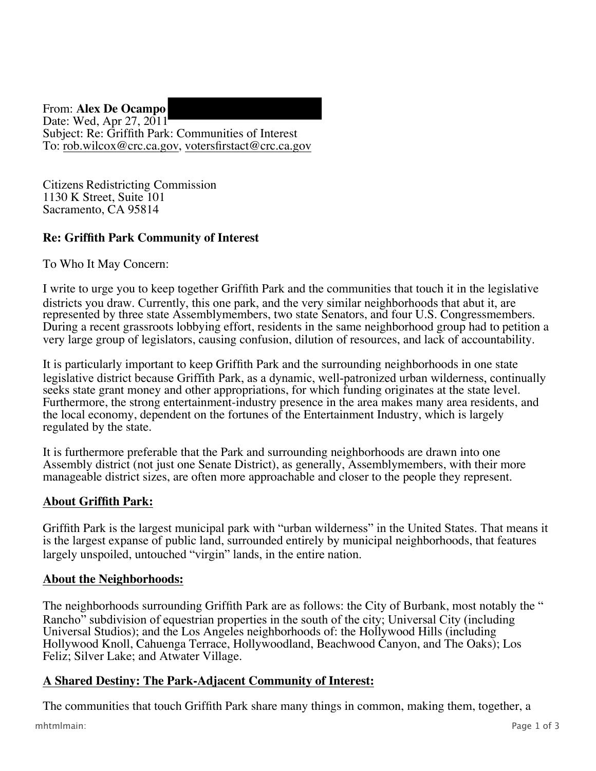From: **Alex De Ocampo**  Date: Wed, Apr 27, 2011 Subject: Re: Griffith Park: Communities of Interest To: rob.wilcox@crc.ca.gov , votersfirstact@crc.ca.gov

Citizens Redistricting Commission 1130 K Street, Suite 101 Sacramento, CA 95814

# **Re: Griffith Park Community of Interest**

To Who It May Concern:

I write to urge you to keep together Griffith Park and the communities that touch it in the legislative districts you draw. Currently, this one park, and the very similar neighborhoods that abut it, are represented by three state Assemblymembers, two state Senators, and four U.S. Congressmembers. During a recent grassroots lobbying effort, residents in the same neighborhood group had to petition a very large group of legislators, causing confusion, dilution of resources, and lack of accountability.

It is particularly important to keep Griffith Park and the surrounding neighborhoods in one state legislative district because Griffith Park, as a dynamic, well-patronized urban wilderness, continually seeks state grant money and other appropriations, for which funding originates at the state level. Furthermore, the strong entertainment-industry presence in the area makes many area residents, and the local economy, dependent on the fortunes of the Entertainment Industry, which is largely regulated by the state.

It is furthermore preferable that the Park and surrounding neighborhoods are drawn into one Assembly district (not just one Senate District), as generally, Assemblymembers, with their more manageable district sizes, are often more approachable and closer to the people they represent.

## **About Griffith Park:**

Griffith Park is the largest municipal park with "urban wilderness" in the United States. That means it is the largest expanse of public land, surrounded entirely by municipal neighborhoods, that features largely unspoiled, untouched "virgin" lands, in the entire nation.

### **About the Neighborhoods:**

The neighborhoods surrounding Griffith Park are as follows: the City of Burbank, most notably the " Rancho" subdivision of equestrian properties in the south of the city; Universal City (including Universal Studios); and the Los Angeles neighborhoods of: the Hollywood Hills (including Hollywood Knoll, Cahuenga Terrace, Hollywoodland, Beachwood Canyon, and The Oaks); Los Feliz; Silver Lake; and Atwater Village.

### **A Shared Destiny: The Park-Adjacent Community of Interest:**

The communities that touch Griffith Park share many things in common, making them, together, a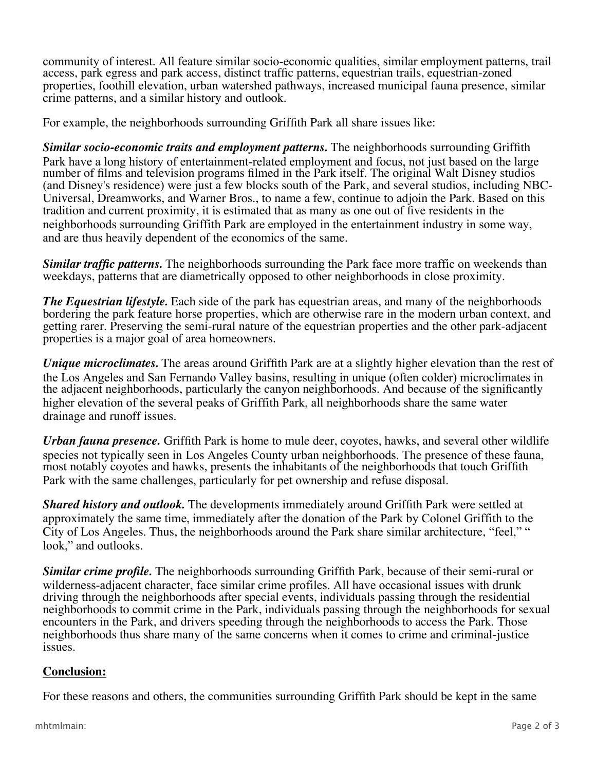community of interest. All feature similar socio-economic qualities, similar employment patterns, trail access, park egress and park access, distinct traffic patterns, equestrian trails, equestrian-zoned properties, foothill elevation, urban watershed pathways, increased municipal fauna presence, similar crime patterns, and a similar history and outlook.

For example, the neighborhoods surrounding Griffith Park all share issues like:

*Similar socio-economic traits and employment patterns.* The neighborhoods surrounding Griffith Park have a long history of entertainment-related employment and focus, not just based on the large number of films and television programs filmed in the Park itself. The original Walt Disney studios (and Disney's residence) were just a few blocks south of the Park, and several studios, including NBC-Universal, Dreamworks, and Warner Bros., to name a few, continue to adjoin the Park. Based on this tradition and current proximity, it is estimated that as many as one out of five residents in the neighborhoods surrounding Griffith Park are employed in the entertainment industry in some way, and are thus heavily dependent of the economics of the same.

*Similar traffic patterns.* The neighborhoods surrounding the Park face more traffic on weekends than weekdays, patterns that are diametrically opposed to other neighborhoods in close proximity.

*The Equestrian lifestyle.* Each side of the park has equestrian areas, and many of the neighborhoods bordering the park feature horse properties, which are otherwise rare in the modern urban context, and getting rarer. Preserving the semi-rural nature of the equestrian properties and the other park-adjacent properties is a major goal of area homeowners.

*Unique microclimates.* The areas around Griffith Park are at a slightly higher elevation than the rest of the Los Angeles and San Fernando Valley basins, resulting in unique (often colder) microclimates in the adjacent neighborhoods, particularly the canyon neighborhoods. And because of the significantly higher elevation of the several peaks of Griffith Park, all neighborhoods share the same water drainage and runoff issues.

*Urban fauna presence.* Griffith Park is home to mule deer, coyotes, hawks, and several other wildlife species not typically seen in Los Angeles County urban neighborhoods. The presence of these fauna, most notably coyotes and hawks, presents the inhabitants of the neighborhoods that touch Griffith Park with the same challenges, particularly for pet ownership and refuse disposal.

*Shared history and outlook.* The developments immediately around Griffith Park were settled at approximately the same time, immediately after the donation of the Park by Colonel Griffith to the City of Los Angeles. Thus, the neighborhoods around the Park share similar architecture, "feel," " look," and outlooks.

*Similar crime profile.* The neighborhoods surrounding Griffith Park, because of their semi-rural or wilderness-adjacent character, face similar crime profiles. All have occasional issues with drunk driving through the neighborhoods after special events, individuals passing through the residential neighborhoods to commit crime in the Park, individuals passing through the neighborhoods for sexual encounters in the Park, and drivers speeding through the neighborhoods to access the Park. Those neighborhoods thus share many of the same concerns when it comes to crime and criminal-justice issues.

### **Conclusion:**

For these reasons and others, the communities surrounding Griffith Park should be kept in the same